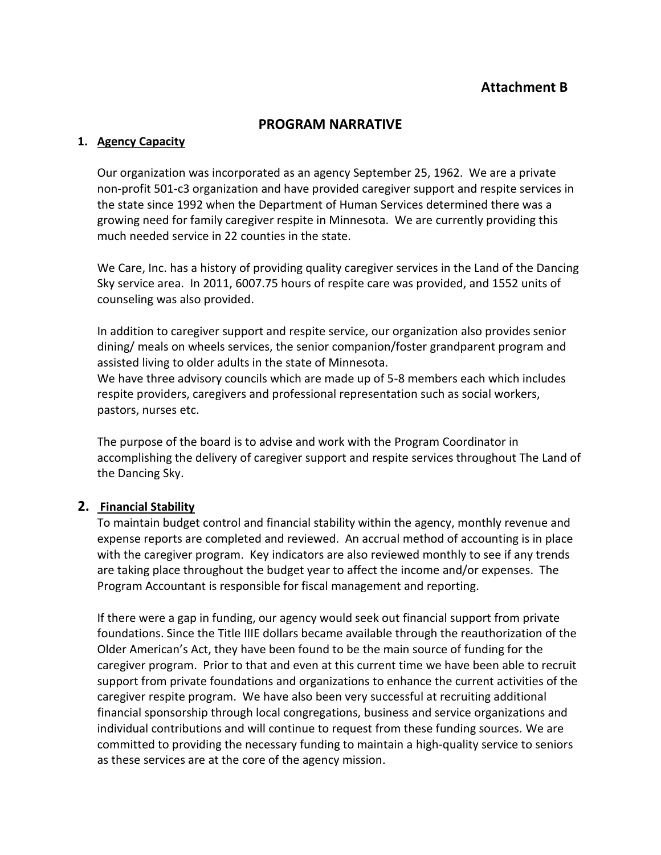# **PROGRAM NARRATIVE**

## **1. Agency Capacity**

Our organization was incorporated as an agency September 25, 1962. We are a private non-profit 501-c3 organization and have provided caregiver support and respite services in the state since 1992 when the Department of Human Services determined there was a growing need for family caregiver respite in Minnesota. We are currently providing this much needed service in 22 counties in the state.

We Care, Inc. has a history of providing quality caregiver services in the Land of the Dancing Sky service area. In 2011, 6007.75 hours of respite care was provided, and 1552 units of counseling was also provided.

In addition to caregiver support and respite service, our organization also provides senior dining/ meals on wheels services, the senior companion/foster grandparent program and assisted living to older adults in the state of Minnesota.

We have three advisory councils which are made up of 5-8 members each which includes respite providers, caregivers and professional representation such as social workers, pastors, nurses etc.

The purpose of the board is to advise and work with the Program Coordinator in accomplishing the delivery of caregiver support and respite services throughout The Land of the Dancing Sky.

#### **2. Financial Stability**

To maintain budget control and financial stability within the agency, monthly revenue and expense reports are completed and reviewed. An accrual method of accounting is in place with the caregiver program. Key indicators are also reviewed monthly to see if any trends are taking place throughout the budget year to affect the income and/or expenses. The Program Accountant is responsible for fiscal management and reporting.

If there were a gap in funding, our agency would seek out financial support from private foundations. Since the Title IIIE dollars became available through the reauthorization of the Older American's Act, they have been found to be the main source of funding for the caregiver program. Prior to that and even at this current time we have been able to recruit support from private foundations and organizations to enhance the current activities of the caregiver respite program. We have also been very successful at recruiting additional financial sponsorship through local congregations, business and service organizations and individual contributions and will continue to request from these funding sources. We are committed to providing the necessary funding to maintain a high-quality service to seniors as these services are at the core of the agency mission.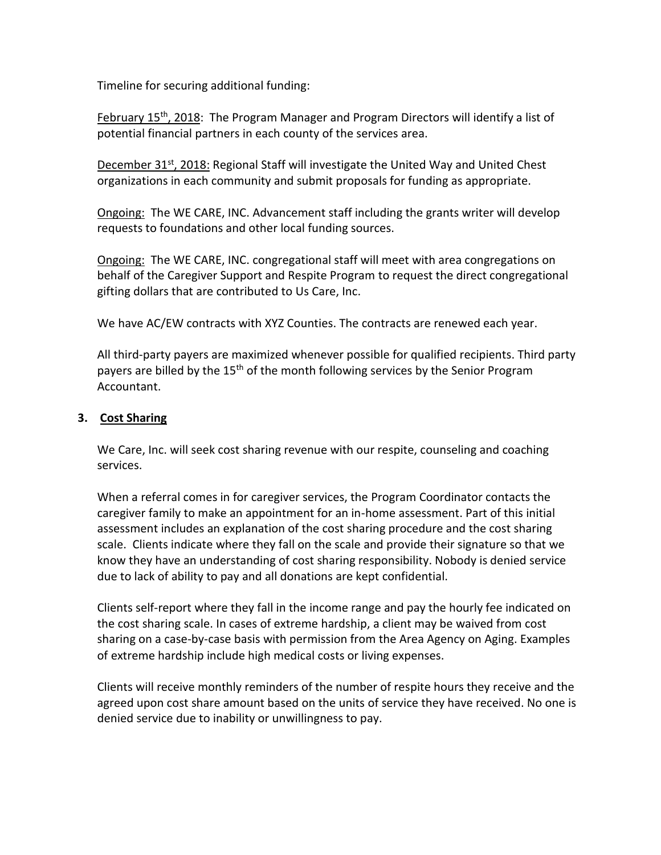Timeline for securing additional funding:

February 15<sup>th</sup>, 2018: The Program Manager and Program Directors will identify a list of potential financial partners in each county of the services area.

December 31<sup>st</sup>, 2018: Regional Staff will investigate the United Way and United Chest organizations in each community and submit proposals for funding as appropriate.

Ongoing: The WE CARE, INC. Advancement staff including the grants writer will develop requests to foundations and other local funding sources.

**Ongoing:** The WE CARE, INC. congregational staff will meet with area congregations on behalf of the Caregiver Support and Respite Program to request the direct congregational gifting dollars that are contributed to Us Care, Inc.

We have AC/EW contracts with XYZ Counties. The contracts are renewed each year.

All third-party payers are maximized whenever possible for qualified recipients. Third party payers are billed by the  $15<sup>th</sup>$  of the month following services by the Senior Program Accountant.

# **3. Cost Sharing**

We Care, Inc. will seek cost sharing revenue with our respite, counseling and coaching services.

When a referral comes in for caregiver services, the Program Coordinator contacts the caregiver family to make an appointment for an in-home assessment. Part of this initial assessment includes an explanation of the cost sharing procedure and the cost sharing scale. Clients indicate where they fall on the scale and provide their signature so that we know they have an understanding of cost sharing responsibility. Nobody is denied service due to lack of ability to pay and all donations are kept confidential.

Clients self-report where they fall in the income range and pay the hourly fee indicated on the cost sharing scale. In cases of extreme hardship, a client may be waived from cost sharing on a case-by-case basis with permission from the Area Agency on Aging. Examples of extreme hardship include high medical costs or living expenses.

Clients will receive monthly reminders of the number of respite hours they receive and the agreed upon cost share amount based on the units of service they have received. No one is denied service due to inability or unwillingness to pay.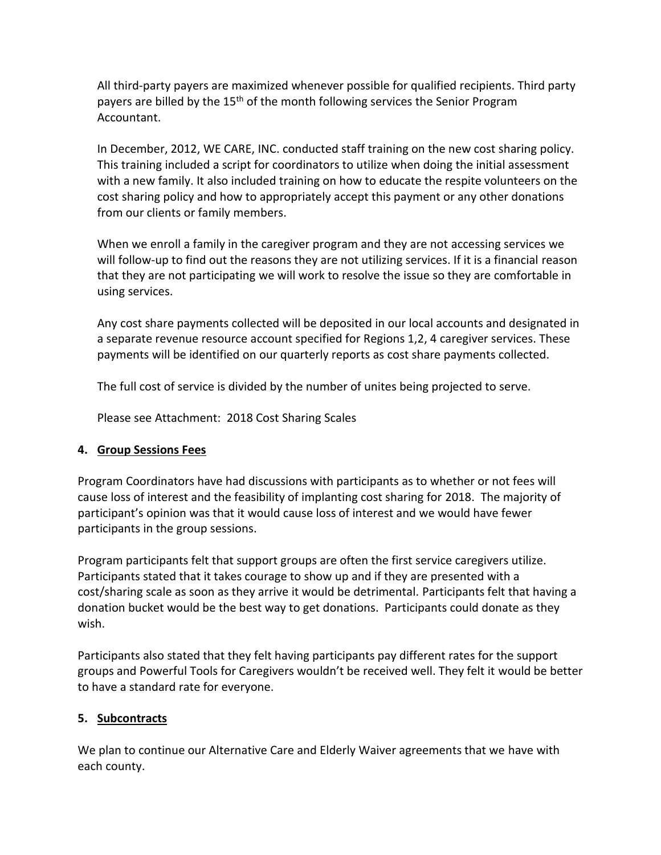All third-party payers are maximized whenever possible for qualified recipients. Third party payers are billed by the 15<sup>th</sup> of the month following services the Senior Program Accountant.

In December, 2012, WE CARE, INC. conducted staff training on the new cost sharing policy. This training included a script for coordinators to utilize when doing the initial assessment with a new family. It also included training on how to educate the respite volunteers on the cost sharing policy and how to appropriately accept this payment or any other donations from our clients or family members.

When we enroll a family in the caregiver program and they are not accessing services we will follow-up to find out the reasons they are not utilizing services. If it is a financial reason that they are not participating we will work to resolve the issue so they are comfortable in using services.

Any cost share payments collected will be deposited in our local accounts and designated in a separate revenue resource account specified for Regions 1,2, 4 caregiver services. These payments will be identified on our quarterly reports as cost share payments collected.

The full cost of service is divided by the number of unites being projected to serve.

Please see Attachment: 2018 Cost Sharing Scales

# **4. Group Sessions Fees**

Program Coordinators have had discussions with participants as to whether or not fees will cause loss of interest and the feasibility of implanting cost sharing for 2018. The majority of participant's opinion was that it would cause loss of interest and we would have fewer participants in the group sessions.

Program participants felt that support groups are often the first service caregivers utilize. Participants stated that it takes courage to show up and if they are presented with a cost/sharing scale as soon as they arrive it would be detrimental. Participants felt that having a donation bucket would be the best way to get donations. Participants could donate as they wish.

Participants also stated that they felt having participants pay different rates for the support groups and Powerful Tools for Caregivers wouldn't be received well. They felt it would be better to have a standard rate for everyone.

# **5. Subcontracts**

We plan to continue our Alternative Care and Elderly Waiver agreements that we have with each county.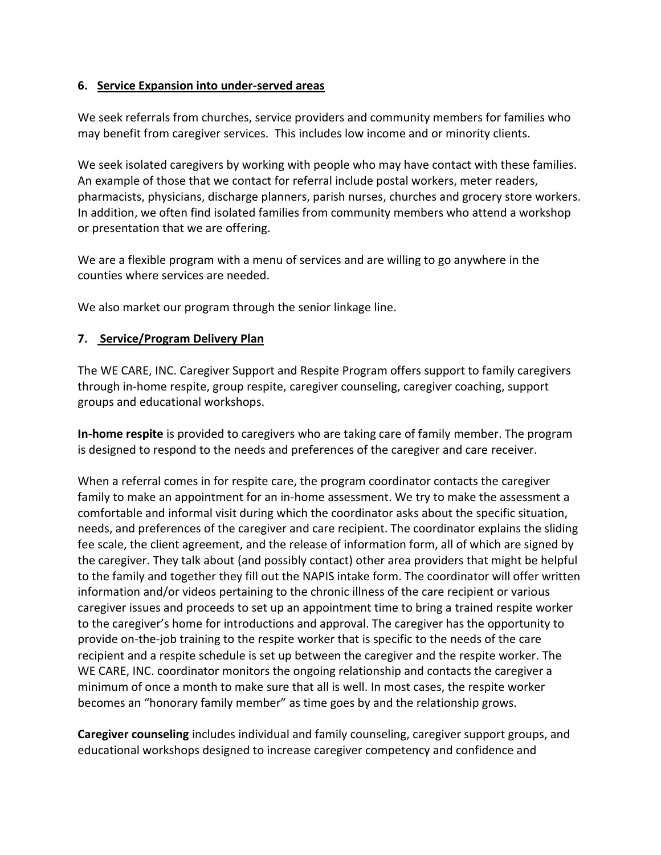## **6. Service Expansion into under-served areas**

We seek referrals from churches, service providers and community members for families who may benefit from caregiver services. This includes low income and or minority clients.

We seek isolated caregivers by working with people who may have contact with these families. An example of those that we contact for referral include postal workers, meter readers, pharmacists, physicians, discharge planners, parish nurses, churches and grocery store workers. In addition, we often find isolated families from community members who attend a workshop or presentation that we are offering.

We are a flexible program with a menu of services and are willing to go anywhere in the counties where services are needed.

We also market our program through the senior linkage line.

## **7. Service/Program Delivery Plan**

The WE CARE, INC. Caregiver Support and Respite Program offers support to family caregivers through in-home respite, group respite, caregiver counseling, caregiver coaching, support groups and educational workshops.

**In-home respite** is provided to caregivers who are taking care of family member. The program is designed to respond to the needs and preferences of the caregiver and care receiver.

When a referral comes in for respite care, the program coordinator contacts the caregiver family to make an appointment for an in-home assessment. We try to make the assessment a comfortable and informal visit during which the coordinator asks about the specific situation, needs, and preferences of the caregiver and care recipient. The coordinator explains the sliding fee scale, the client agreement, and the release of information form, all of which are signed by the caregiver. They talk about (and possibly contact) other area providers that might be helpful to the family and together they fill out the NAPIS intake form. The coordinator will offer written information and/or videos pertaining to the chronic illness of the care recipient or various caregiver issues and proceeds to set up an appointment time to bring a trained respite worker to the caregiver's home for introductions and approval. The caregiver has the opportunity to provide on-the-job training to the respite worker that is specific to the needs of the care recipient and a respite schedule is set up between the caregiver and the respite worker. The WE CARE, INC. coordinator monitors the ongoing relationship and contacts the caregiver a minimum of once a month to make sure that all is well. In most cases, the respite worker becomes an "honorary family member" as time goes by and the relationship grows.

**Caregiver counseling** includes individual and family counseling, caregiver support groups, and educational workshops designed to increase caregiver competency and confidence and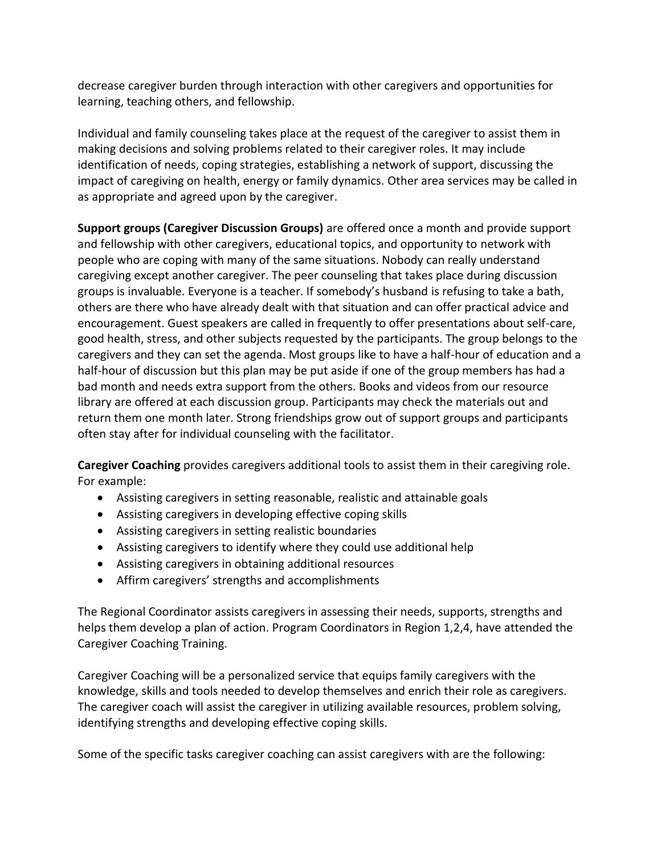decrease caregiver burden through interaction with other caregivers and opportunities for learning, teaching others, and fellowship.

Individual and family counseling takes place at the request of the caregiver to assist them in making decisions and solving problems related to their caregiver roles. It may include identification of needs, coping strategies, establishing a network of support, discussing the impact of caregiving on health, energy or family dynamics. Other area services may be called in as appropriate and agreed upon by the caregiver.

**Support groups (Caregiver Discussion Groups)** are offered once a month and provide support and fellowship with other caregivers, educational topics, and opportunity to network with people who are coping with many of the same situations. Nobody can really understand caregiving except another caregiver. The peer counseling that takes place during discussion groups is invaluable. Everyone is a teacher. If somebody's husband is refusing to take a bath, others are there who have already dealt with that situation and can offer practical advice and encouragement. Guest speakers are called in frequently to offer presentations about self-care, good health, stress, and other subjects requested by the participants. The group belongs to the caregivers and they can set the agenda. Most groups like to have a half-hour of education and a half-hour of discussion but this plan may be put aside if one of the group members has had a bad month and needs extra support from the others. Books and videos from our resource library are offered at each discussion group. Participants may check the materials out and return them one month later. Strong friendships grow out of support groups and participants often stay after for individual counseling with the facilitator.

**Caregiver Coaching** provides caregivers additional tools to assist them in their caregiving role. For example:

- Assisting caregivers in setting reasonable, realistic and attainable goals
- Assisting caregivers in developing effective coping skills
- Assisting caregivers in setting realistic boundaries
- Assisting caregivers to identify where they could use additional help
- Assisting caregivers in obtaining additional resources
- Affirm caregivers' strengths and accomplishments

The Regional Coordinator assists caregivers in assessing their needs, supports, strengths and helps them develop a plan of action. Program Coordinators in Region 1,2,4, have attended the Caregiver Coaching Training.

Caregiver Coaching will be a personalized service that equips family caregivers with the knowledge, skills and tools needed to develop themselves and enrich their role as caregivers. The caregiver coach will assist the caregiver in utilizing available resources, problem solving, identifying strengths and developing effective coping skills.

Some of the specific tasks caregiver coaching can assist caregivers with are the following: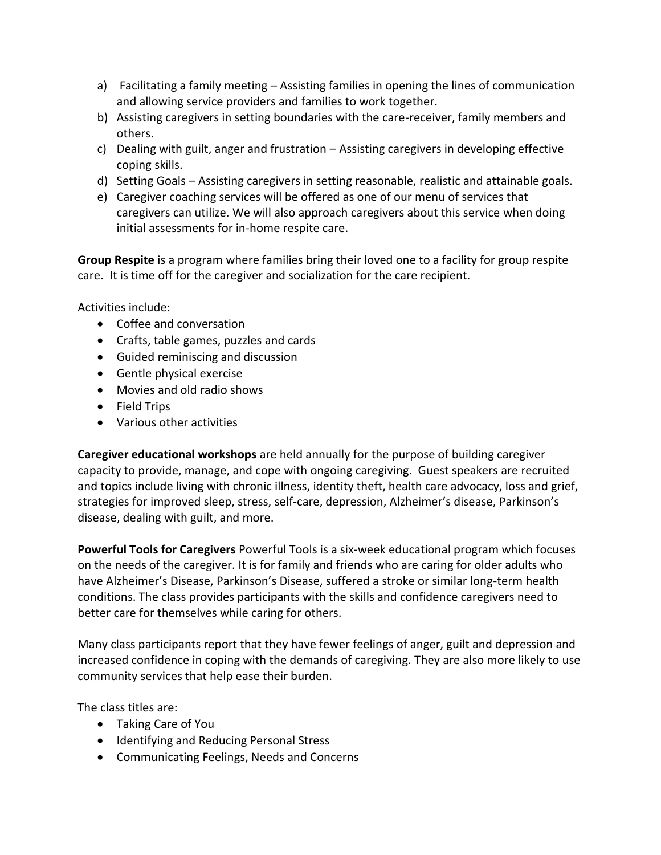- a) Facilitating a family meeting Assisting families in opening the lines of communication and allowing service providers and families to work together.
- b) Assisting caregivers in setting boundaries with the care-receiver, family members and others.
- c) Dealing with guilt, anger and frustration Assisting caregivers in developing effective coping skills.
- d) Setting Goals Assisting caregivers in setting reasonable, realistic and attainable goals.
- e) Caregiver coaching services will be offered as one of our menu of services that caregivers can utilize. We will also approach caregivers about this service when doing initial assessments for in-home respite care.

**Group Respite** is a program where families bring their loved one to a facility for group respite care. It is time off for the caregiver and socialization for the care recipient.

Activities include:

- Coffee and conversation
- Crafts, table games, puzzles and cards
- Guided reminiscing and discussion
- Gentle physical exercise
- Movies and old radio shows
- Field Trips
- Various other activities

**Caregiver educational workshops** are held annually for the purpose of building caregiver capacity to provide, manage, and cope with ongoing caregiving. Guest speakers are recruited and topics include living with chronic illness, identity theft, health care advocacy, loss and grief, strategies for improved sleep, stress, self-care, depression, Alzheimer's disease, Parkinson's disease, dealing with guilt, and more.

**Powerful Tools for Caregivers** Powerful Tools is a six-week educational program which focuses on the needs of the caregiver. It is for family and friends who are caring for older adults who have Alzheimer's Disease, Parkinson's Disease, suffered a stroke or similar long-term health conditions. The class provides participants with the skills and confidence caregivers need to better care for themselves while caring for others.

Many class participants report that they have fewer feelings of anger, guilt and depression and increased confidence in coping with the demands of caregiving. They are also more likely to use community services that help ease their burden.

The class titles are:

- Taking Care of You
- Identifying and Reducing Personal Stress
- Communicating Feelings, Needs and Concerns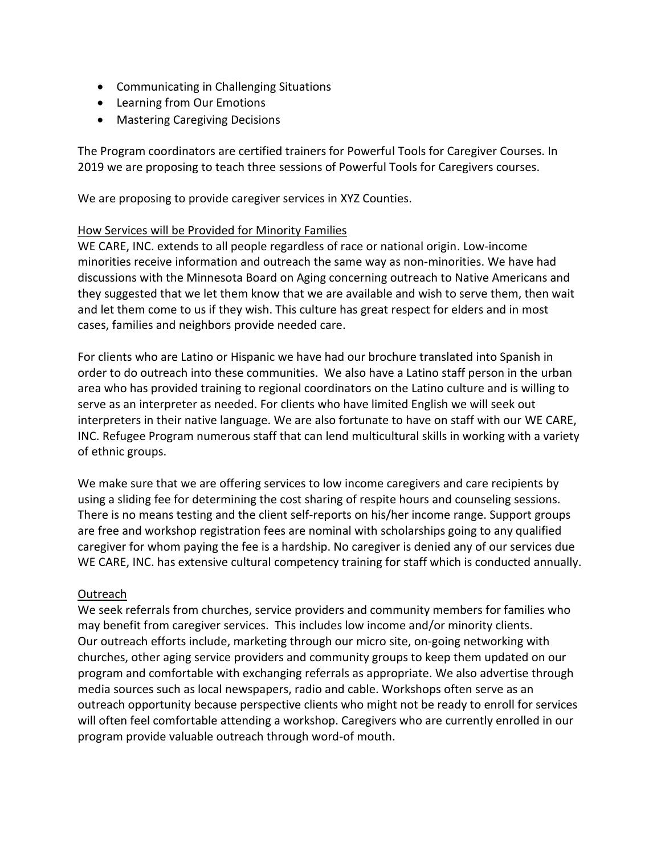- Communicating in Challenging Situations
- Learning from Our Emotions
- Mastering Caregiving Decisions

The Program coordinators are certified trainers for Powerful Tools for Caregiver Courses. In 2019 we are proposing to teach three sessions of Powerful Tools for Caregivers courses.

We are proposing to provide caregiver services in XYZ Counties.

## How Services will be Provided for Minority Families

WE CARE, INC. extends to all people regardless of race or national origin. Low-income minorities receive information and outreach the same way as non-minorities. We have had discussions with the Minnesota Board on Aging concerning outreach to Native Americans and they suggested that we let them know that we are available and wish to serve them, then wait and let them come to us if they wish. This culture has great respect for elders and in most cases, families and neighbors provide needed care.

For clients who are Latino or Hispanic we have had our brochure translated into Spanish in order to do outreach into these communities. We also have a Latino staff person in the urban area who has provided training to regional coordinators on the Latino culture and is willing to serve as an interpreter as needed. For clients who have limited English we will seek out interpreters in their native language. We are also fortunate to have on staff with our WE CARE, INC. Refugee Program numerous staff that can lend multicultural skills in working with a variety of ethnic groups.

We make sure that we are offering services to low income caregivers and care recipients by using a sliding fee for determining the cost sharing of respite hours and counseling sessions. There is no means testing and the client self-reports on his/her income range. Support groups are free and workshop registration fees are nominal with scholarships going to any qualified caregiver for whom paying the fee is a hardship. No caregiver is denied any of our services due WE CARE, INC. has extensive cultural competency training for staff which is conducted annually.

#### Outreach

We seek referrals from churches, service providers and community members for families who may benefit from caregiver services. This includes low income and/or minority clients. Our outreach efforts include, marketing through our micro site, on-going networking with churches, other aging service providers and community groups to keep them updated on our program and comfortable with exchanging referrals as appropriate. We also advertise through media sources such as local newspapers, radio and cable. Workshops often serve as an outreach opportunity because perspective clients who might not be ready to enroll for services will often feel comfortable attending a workshop. Caregivers who are currently enrolled in our program provide valuable outreach through word-of mouth.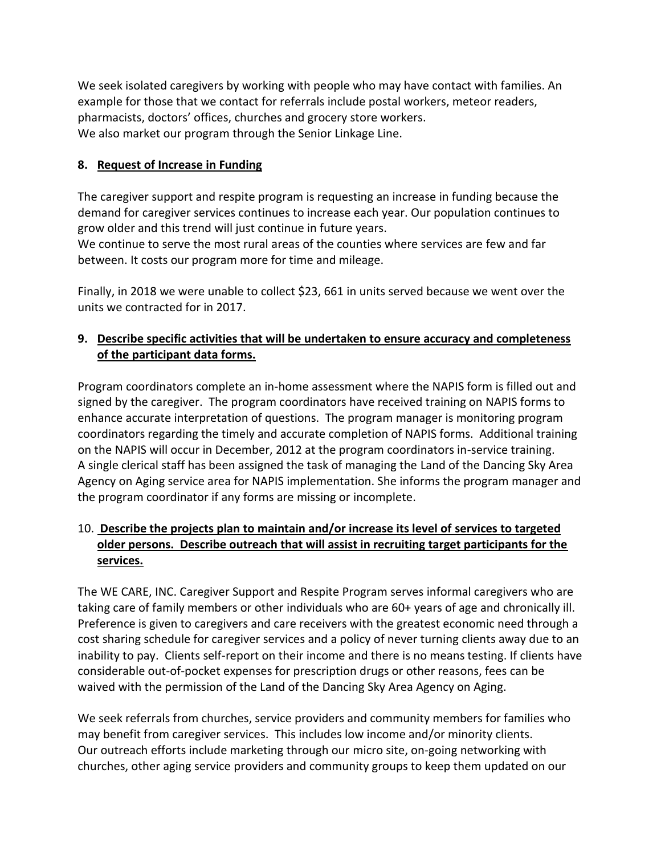We seek isolated caregivers by working with people who may have contact with families. An example for those that we contact for referrals include postal workers, meteor readers, pharmacists, doctors' offices, churches and grocery store workers. We also market our program through the Senior Linkage Line.

## **8. Request of Increase in Funding**

The caregiver support and respite program is requesting an increase in funding because the demand for caregiver services continues to increase each year. Our population continues to grow older and this trend will just continue in future years.

We continue to serve the most rural areas of the counties where services are few and far between. It costs our program more for time and mileage.

Finally, in 2018 we were unable to collect \$23, 661 in units served because we went over the units we contracted for in 2017.

# **9. Describe specific activities that will be undertaken to ensure accuracy and completeness of the participant data forms.**

Program coordinators complete an in-home assessment where the NAPIS form is filled out and signed by the caregiver. The program coordinators have received training on NAPIS forms to enhance accurate interpretation of questions. The program manager is monitoring program coordinators regarding the timely and accurate completion of NAPIS forms. Additional training on the NAPIS will occur in December, 2012 at the program coordinators in-service training. A single clerical staff has been assigned the task of managing the Land of the Dancing Sky Area Agency on Aging service area for NAPIS implementation. She informs the program manager and the program coordinator if any forms are missing or incomplete.

# 10. **Describe the projects plan to maintain and/or increase its level of services to targeted older persons. Describe outreach that will assist in recruiting target participants for the services.**

The WE CARE, INC. Caregiver Support and Respite Program serves informal caregivers who are taking care of family members or other individuals who are 60+ years of age and chronically ill. Preference is given to caregivers and care receivers with the greatest economic need through a cost sharing schedule for caregiver services and a policy of never turning clients away due to an inability to pay. Clients self-report on their income and there is no means testing. If clients have considerable out-of-pocket expenses for prescription drugs or other reasons, fees can be waived with the permission of the Land of the Dancing Sky Area Agency on Aging.

We seek referrals from churches, service providers and community members for families who may benefit from caregiver services. This includes low income and/or minority clients. Our outreach efforts include marketing through our micro site, on-going networking with churches, other aging service providers and community groups to keep them updated on our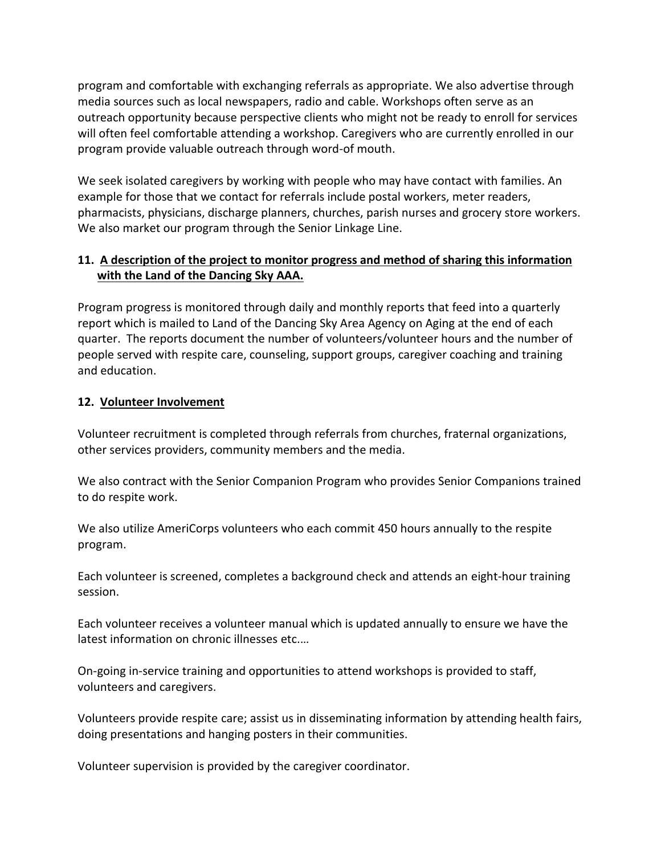program and comfortable with exchanging referrals as appropriate. We also advertise through media sources such as local newspapers, radio and cable. Workshops often serve as an outreach opportunity because perspective clients who might not be ready to enroll for services will often feel comfortable attending a workshop. Caregivers who are currently enrolled in our program provide valuable outreach through word-of mouth.

We seek isolated caregivers by working with people who may have contact with families. An example for those that we contact for referrals include postal workers, meter readers, pharmacists, physicians, discharge planners, churches, parish nurses and grocery store workers. We also market our program through the Senior Linkage Line.

# **11. A description of the project to monitor progress and method of sharing this information with the Land of the Dancing Sky AAA.**

Program progress is monitored through daily and monthly reports that feed into a quarterly report which is mailed to Land of the Dancing Sky Area Agency on Aging at the end of each quarter. The reports document the number of volunteers/volunteer hours and the number of people served with respite care, counseling, support groups, caregiver coaching and training and education.

## **12. Volunteer Involvement**

Volunteer recruitment is completed through referrals from churches, fraternal organizations, other services providers, community members and the media.

We also contract with the Senior Companion Program who provides Senior Companions trained to do respite work.

We also utilize AmeriCorps volunteers who each commit 450 hours annually to the respite program.

Each volunteer is screened, completes a background check and attends an eight-hour training session.

Each volunteer receives a volunteer manual which is updated annually to ensure we have the latest information on chronic illnesses etc.…

On-going in-service training and opportunities to attend workshops is provided to staff, volunteers and caregivers.

Volunteers provide respite care; assist us in disseminating information by attending health fairs, doing presentations and hanging posters in their communities.

Volunteer supervision is provided by the caregiver coordinator.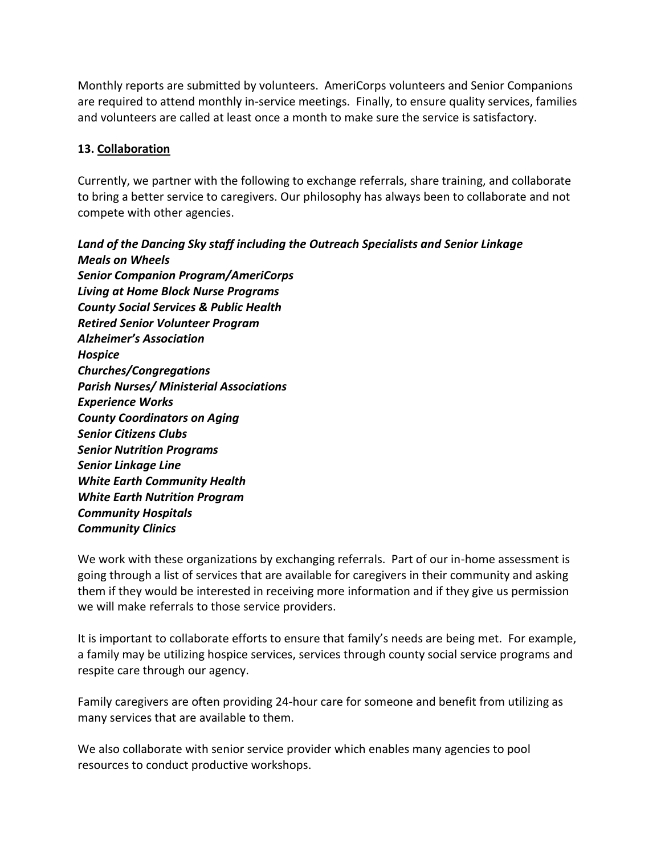Monthly reports are submitted by volunteers. AmeriCorps volunteers and Senior Companions are required to attend monthly in-service meetings. Finally, to ensure quality services, families and volunteers are called at least once a month to make sure the service is satisfactory.

## **13. Collaboration**

Currently, we partner with the following to exchange referrals, share training, and collaborate to bring a better service to caregivers. Our philosophy has always been to collaborate and not compete with other agencies.

*Land of the Dancing Sky staff including the Outreach Specialists and Senior Linkage Meals on Wheels Senior Companion Program/AmeriCorps Living at Home Block Nurse Programs County Social Services & Public Health Retired Senior Volunteer Program Alzheimer's Association Hospice Churches/Congregations Parish Nurses/ Ministerial Associations Experience Works County Coordinators on Aging Senior Citizens Clubs Senior Nutrition Programs Senior Linkage Line White Earth Community Health White Earth Nutrition Program Community Hospitals Community Clinics*

We work with these organizations by exchanging referrals. Part of our in-home assessment is going through a list of services that are available for caregivers in their community and asking them if they would be interested in receiving more information and if they give us permission we will make referrals to those service providers.

It is important to collaborate efforts to ensure that family's needs are being met. For example, a family may be utilizing hospice services, services through county social service programs and respite care through our agency.

Family caregivers are often providing 24-hour care for someone and benefit from utilizing as many services that are available to them.

We also collaborate with senior service provider which enables many agencies to pool resources to conduct productive workshops.